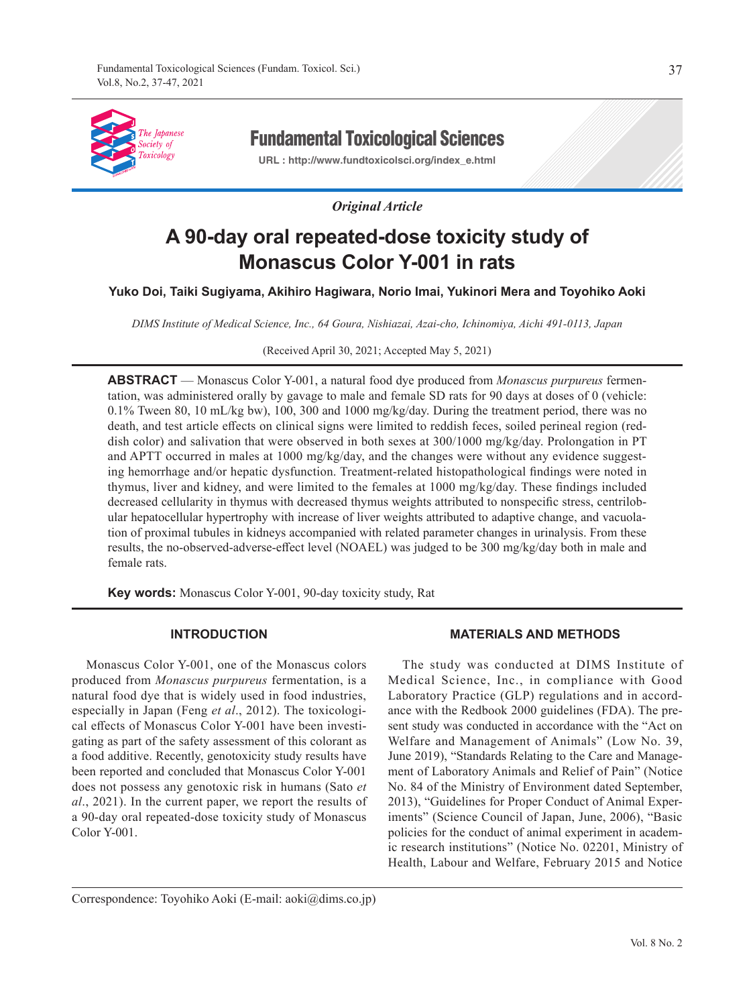

# Fundamental Toxicological Sciences

**URL : http://www.fundtoxicolsci.org/index\_e.html**

# *Original Article*

# **A 90-day oral repeated-dose toxicity study of Monascus Color Y-001 in rats**

# **Yuko Doi, Taiki Sugiyama, Akihiro Hagiwara, Norio Imai, Yukinori Mera and Toyohiko Aoki**

*DIMS Institute of Medical Science, Inc., 64 Goura, Nishiazai, Azai-cho, Ichinomiya, Aichi 491-0113, Japan*

(Received April 30, 2021; Accepted May 5, 2021)

**ABSTRACT** — Monascus Color Y-001, a natural food dye produced from *Monascus purpureus* fermentation, was administered orally by gavage to male and female SD rats for 90 days at doses of 0 (vehicle: 0.1% Tween 80, 10 mL/kg bw), 100, 300 and 1000 mg/kg/day. During the treatment period, there was no death, and test article effects on clinical signs were limited to reddish feces, soiled perineal region (reddish color) and salivation that were observed in both sexes at 300/1000 mg/kg/day. Prolongation in PT and APTT occurred in males at 1000 mg/kg/day, and the changes were without any evidence suggesting hemorrhage and/or hepatic dysfunction. Treatment-related histopathological findings were noted in thymus, liver and kidney, and were limited to the females at 1000 mg/kg/day. These findings included decreased cellularity in thymus with decreased thymus weights attributed to nonspecific stress, centrilobular hepatocellular hypertrophy with increase of liver weights attributed to adaptive change, and vacuolation of proximal tubules in kidneys accompanied with related parameter changes in urinalysis. From these results, the no-observed-adverse-effect level (NOAEL) was judged to be 300 mg/kg/day both in male and female rats.

**Key words:** Monascus Color Y-001, 90-day toxicity study, Rat

# **INTRODUCTION**

Monascus Color Y-001, one of the Monascus colors produced from *Monascus purpureus* fermentation, is a natural food dye that is widely used in food industries, especially in Japan (Feng *et al*., 2012). The toxicological effects of Monascus Color Y-001 have been investigating as part of the safety assessment of this colorant as a food additive. Recently, genotoxicity study results have been reported and concluded that Monascus Color Y-001 does not possess any genotoxic risk in humans (Sato *et al*., 2021). In the current paper, we report the results of a 90-day oral repeated-dose toxicity study of Monascus Color Y-001.

# **MATERIALS AND METHODS**

The study was conducted at DIMS Institute of Medical Science, Inc., in compliance with Good Laboratory Practice (GLP) regulations and in accordance with the Redbook 2000 guidelines (FDA). The present study was conducted in accordance with the "Act on Welfare and Management of Animals" (Low No. 39, June 2019), "Standards Relating to the Care and Management of Laboratory Animals and Relief of Pain" (Notice No. 84 of the Ministry of Environment dated September, 2013), "Guidelines for Proper Conduct of Animal Experiments" (Science Council of Japan, June, 2006), "Basic policies for the conduct of animal experiment in academic research institutions" (Notice No. 02201, Ministry of Health, Labour and Welfare, February 2015 and Notice

Correspondence: Toyohiko Aoki (E-mail: aoki@dims.co.jp)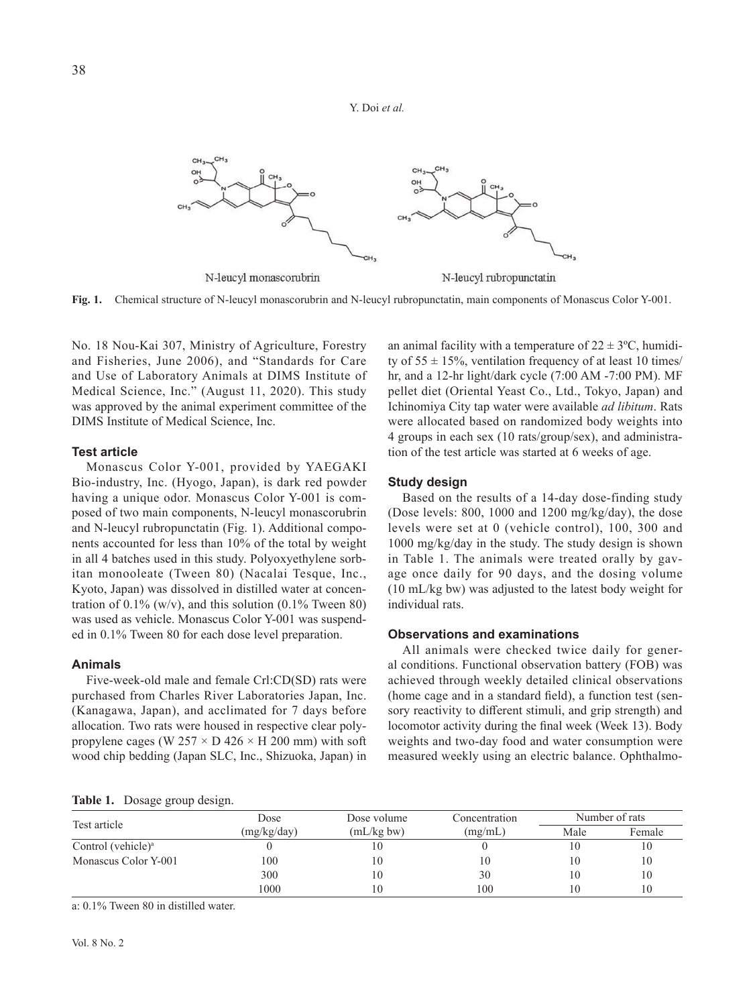

**Fig. 1.** Chemical structure of N-leucyl monascorubrin and N-leucyl rubropunctatin, main components of Monascus Color Y-001.

No. 18 Nou-Kai 307, Ministry of Agriculture, Forestry and Fisheries, June 2006), and "Standards for Care and Use of Laboratory Animals at DIMS Institute of Medical Science, Inc." (August 11, 2020). This study was approved by the animal experiment committee of the DIMS Institute of Medical Science, Inc.

#### **Test article**

Monascus Color Y-001, provided by YAEGAKI Bio-industry, Inc. (Hyogo, Japan), is dark red powder having a unique odor. Monascus Color Y-001 is composed of two main components, N-leucyl monascorubrin and N-leucyl rubropunctatin (Fig. 1). Additional components accounted for less than 10% of the total by weight in all 4 batches used in this study. Polyoxyethylene sorbitan monooleate (Tween 80) (Nacalai Tesque, Inc., Kyoto, Japan) was dissolved in distilled water at concentration of  $0.1\%$  (w/v), and this solution (0.1% Tween 80) was used as vehicle. Monascus Color Y-001 was suspended in 0.1% Tween 80 for each dose level preparation.

# **Animals**

Five-week-old male and female Crl:CD(SD) rats were purchased from Charles River Laboratories Japan, Inc. (Kanagawa, Japan), and acclimated for 7 days before allocation. Two rats were housed in respective clear polypropylene cages (W 257  $\times$  D 426  $\times$  H 200 mm) with soft wood chip bedding (Japan SLC, Inc., Shizuoka, Japan) in

an animal facility with a temperature of  $22 \pm 3$ °C, humidity of  $55 \pm 15$ %, ventilation frequency of at least 10 times/ hr, and a 12-hr light/dark cycle (7:00 AM -7:00 PM). MF pellet diet (Oriental Yeast Co., Ltd., Tokyo, Japan) and Ichinomiya City tap water were available *ad libitum*. Rats were allocated based on randomized body weights into 4 groups in each sex (10 rats/group/sex), and administration of the test article was started at 6 weeks of age.

#### **Study design**

Based on the results of a 14-day dose-finding study (Dose levels: 800, 1000 and 1200 mg/kg/day), the dose levels were set at 0 (vehicle control), 100, 300 and 1000 mg/kg/day in the study. The study design is shown in Table 1. The animals were treated orally by gavage once daily for 90 days, and the dosing volume (10 mL/kg bw) was adjusted to the latest body weight for individual rats.

# **Observations and examinations**

All animals were checked twice daily for general conditions. Functional observation battery (FOB) was achieved through weekly detailed clinical observations (home cage and in a standard field), a function test (sensory reactivity to different stimuli, and grip strength) and locomotor activity during the final week (Week 13). Body weights and two-day food and water consumption were measured weekly using an electric balance. Ophthalmo-

**Table 1.** Dosage group design.

| Test article                   | Dose        | Dose volume | Concentration | Number of rats |        |  |
|--------------------------------|-------------|-------------|---------------|----------------|--------|--|
|                                | (mg/kg/day) | (mL/kg bw)  | (mg/mL)       | Male           | Female |  |
| Control (vehicle) <sup>a</sup> |             | 10          |               |                | 10     |  |
| Monascus Color Y-001           | 100         | 10          | 10            | 10             | 10     |  |
|                                | 300         | 10          | 30            | 10             | 10     |  |
|                                | 1000        | 10          | 100           | 10             | 10     |  |

a: 0.1% Tween 80 in distilled water.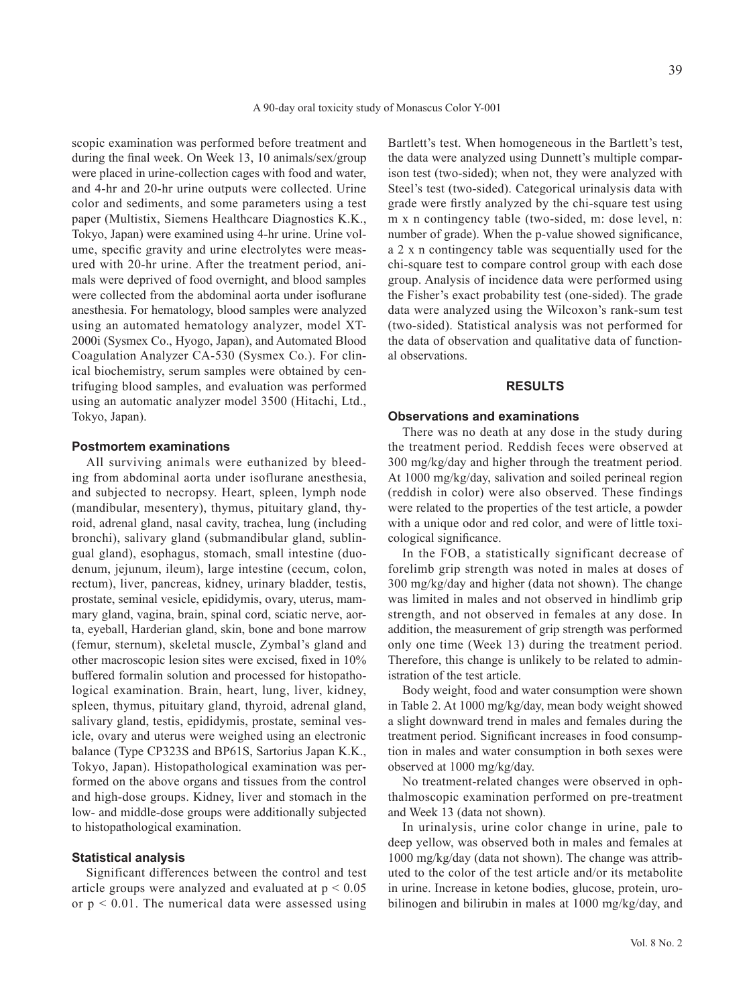scopic examination was performed before treatment and during the final week. On Week 13, 10 animals/sex/group were placed in urine-collection cages with food and water, and 4-hr and 20-hr urine outputs were collected. Urine color and sediments, and some parameters using a test paper (Multistix, Siemens Healthcare Diagnostics K.K., Tokyo, Japan) were examined using 4-hr urine. Urine volume, specific gravity and urine electrolytes were measured with 20-hr urine. After the treatment period, animals were deprived of food overnight, and blood samples were collected from the abdominal aorta under isoflurane anesthesia. For hematology, blood samples were analyzed using an automated hematology analyzer, model XT-2000i (Sysmex Co., Hyogo, Japan), and Automated Blood Coagulation Analyzer CA-530 (Sysmex Co.). For clinical biochemistry, serum samples were obtained by centrifuging blood samples, and evaluation was performed using an automatic analyzer model 3500 (Hitachi, Ltd., Tokyo, Japan).

#### **Postmortem examinations**

All surviving animals were euthanized by bleeding from abdominal aorta under isoflurane anesthesia, and subjected to necropsy. Heart, spleen, lymph node (mandibular, mesentery), thymus, pituitary gland, thyroid, adrenal gland, nasal cavity, trachea, lung (including bronchi), salivary gland (submandibular gland, sublingual gland), esophagus, stomach, small intestine (duodenum, jejunum, ileum), large intestine (cecum, colon, rectum), liver, pancreas, kidney, urinary bladder, testis, prostate, seminal vesicle, epididymis, ovary, uterus, mammary gland, vagina, brain, spinal cord, sciatic nerve, aorta, eyeball, Harderian gland, skin, bone and bone marrow (femur, sternum), skeletal muscle, Zymbal's gland and other macroscopic lesion sites were excised, fixed in 10% buffered formalin solution and processed for histopathological examination. Brain, heart, lung, liver, kidney, spleen, thymus, pituitary gland, thyroid, adrenal gland, salivary gland, testis, epididymis, prostate, seminal vesicle, ovary and uterus were weighed using an electronic balance (Type CP323S and BP61S, Sartorius Japan K.K., Tokyo, Japan). Histopathological examination was performed on the above organs and tissues from the control and high-dose groups. Kidney, liver and stomach in the low- and middle-dose groups were additionally subjected to histopathological examination.

#### **Statistical analysis**

Significant differences between the control and test article groups were analyzed and evaluated at  $p < 0.05$ or  $p < 0.01$ . The numerical data were assessed using Bartlett's test. When homogeneous in the Bartlett's test, the data were analyzed using Dunnett's multiple comparison test (two-sided); when not, they were analyzed with Steel's test (two-sided). Categorical urinalysis data with grade were firstly analyzed by the chi-square test using m x n contingency table (two-sided, m: dose level, n: number of grade). When the p-value showed significance, a 2 x n contingency table was sequentially used for the chi-square test to compare control group with each dose group. Analysis of incidence data were performed using the Fisher's exact probability test (one-sided). The grade data were analyzed using the Wilcoxon's rank-sum test (two-sided). Statistical analysis was not performed for the data of observation and qualitative data of functional observations.

#### **RESULTS**

#### **Observations and examinations**

There was no death at any dose in the study during the treatment period. Reddish feces were observed at 300 mg/kg/day and higher through the treatment period. At 1000 mg/kg/day, salivation and soiled perineal region (reddish in color) were also observed. These findings were related to the properties of the test article, a powder with a unique odor and red color, and were of little toxicological significance.

In the FOB, a statistically significant decrease of forelimb grip strength was noted in males at doses of 300 mg/kg/day and higher (data not shown). The change was limited in males and not observed in hindlimb grip strength, and not observed in females at any dose. In addition, the measurement of grip strength was performed only one time (Week 13) during the treatment period. Therefore, this change is unlikely to be related to administration of the test article.

Body weight, food and water consumption were shown in Table 2. At 1000 mg/kg/day, mean body weight showed a slight downward trend in males and females during the treatment period. Significant increases in food consumption in males and water consumption in both sexes were observed at 1000 mg/kg/day.

No treatment-related changes were observed in ophthalmoscopic examination performed on pre-treatment and Week 13 (data not shown).

In urinalysis, urine color change in urine, pale to deep yellow, was observed both in males and females at 1000 mg/kg/day (data not shown). The change was attributed to the color of the test article and/or its metabolite in urine. Increase in ketone bodies, glucose, protein, urobilinogen and bilirubin in males at 1000 mg/kg/day, and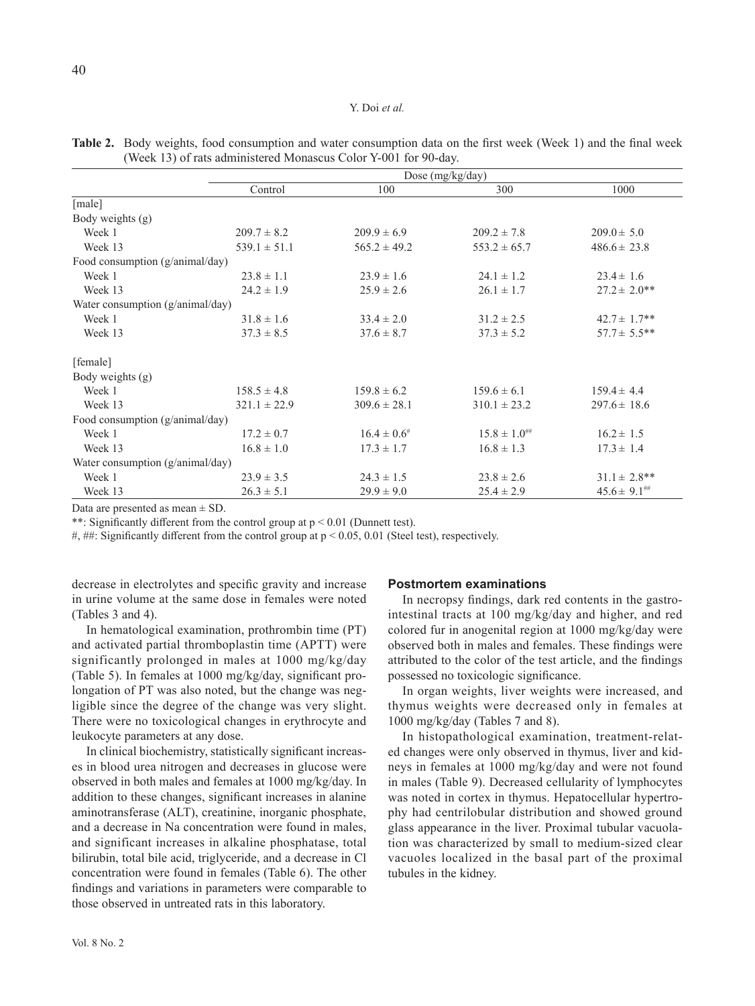|                                           |                  | Dose (mg/kg/day)            |                      |                             |  |  |  |  |  |  |
|-------------------------------------------|------------------|-----------------------------|----------------------|-----------------------------|--|--|--|--|--|--|
|                                           | Control          | 100                         | 300                  | 1000                        |  |  |  |  |  |  |
| [male]                                    |                  |                             |                      |                             |  |  |  |  |  |  |
| Body weights (g)                          |                  |                             |                      |                             |  |  |  |  |  |  |
| Week 1                                    | $209.7 \pm 8.2$  | $209.9 \pm 6.9$             | $209.2 \pm 7.8$      | $209.0 \pm 5.0$             |  |  |  |  |  |  |
| Week 13                                   | $539.1 \pm 51.1$ | $565.2 \pm 49.2$            | $553.2 \pm 65.7$     | $486.6 \pm 23.8$            |  |  |  |  |  |  |
| Food consumption (g/animal/day)           |                  |                             |                      |                             |  |  |  |  |  |  |
| Week 1                                    | $23.8 \pm 1.1$   | $23.9 \pm 1.6$              | $24.1 \pm 1.2$       | $23.4 \pm 1.6$              |  |  |  |  |  |  |
| Week 13                                   | $24.2 \pm 1.9$   | $25.9 \pm 2.6$              | $26.1 \pm 1.7$       | $27.2 \pm 2.0**$            |  |  |  |  |  |  |
| Water consumption $(g/\text{animal}/day)$ |                  |                             |                      |                             |  |  |  |  |  |  |
| Week 1                                    | $31.8 \pm 1.6$   | $33.4 \pm 2.0$              | $31.2 \pm 2.5$       | $42.7 \pm 1.7**$            |  |  |  |  |  |  |
| Week 13                                   | $37.3 \pm 8.5$   | $37.6 \pm 8.7$              | $37.3 \pm 5.2$       | $57.7 \pm 5.5***$           |  |  |  |  |  |  |
| [female]                                  |                  |                             |                      |                             |  |  |  |  |  |  |
| Body weights (g)                          |                  |                             |                      |                             |  |  |  |  |  |  |
| Week 1                                    | $158.5 \pm 4.8$  | $159.8 \pm 6.2$             | $159.6 \pm 6.1$      | $159.4 \pm 4.4$             |  |  |  |  |  |  |
| Week 13                                   | $321.1 \pm 22.9$ | $309.6 \pm 28.1$            | $310.1 \pm 23.2$     | $297.6 \pm 18.6$            |  |  |  |  |  |  |
| Food consumption (g/animal/day)           |                  |                             |                      |                             |  |  |  |  |  |  |
| Week 1                                    | $17.2 \pm 0.7$   | $16.4 \pm 0.6$ <sup>#</sup> | $15.8 \pm 1.0^{***}$ | $16.2 \pm 1.5$              |  |  |  |  |  |  |
| Week 13                                   | $16.8 \pm 1.0$   | $17.3 \pm 1.7$              | $16.8 \pm 1.3$       | $17.3 \pm 1.4$              |  |  |  |  |  |  |
| Water consumption $(g/\text{animal}/day)$ |                  |                             |                      |                             |  |  |  |  |  |  |
| Week 1                                    | $23.9 \pm 3.5$   | $24.3 \pm 1.5$              | $23.8 \pm 2.6$       | $31.1 \pm 2.8$ **           |  |  |  |  |  |  |
| Week 13                                   | $26.3 \pm 5.1$   | $29.9 \pm 9.0$              | $25.4 \pm 2.9$       | $45.6 \pm 9.1^{\text{***}}$ |  |  |  |  |  |  |

**Table 2.** Body weights, food consumption and water consumption data on the first week (Week 1) and the final week (Week 13) of rats administered Monascus Color Y-001 for 90-day.

Data are presented as mean  $\pm$  SD.

\*\*: Significantly different from the control group at  $p < 0.01$  (Dunnett test).

#, ##: Significantly different from the control group at  $p < 0.05$ , 0.01 (Steel test), respectively.

decrease in electrolytes and specific gravity and increase in urine volume at the same dose in females were noted (Tables 3 and 4).

In hematological examination, prothrombin time (PT) and activated partial thromboplastin time (APTT) were significantly prolonged in males at 1000 mg/kg/day (Table 5). In females at 1000 mg/kg/day, significant prolongation of PT was also noted, but the change was negligible since the degree of the change was very slight. There were no toxicological changes in erythrocyte and leukocyte parameters at any dose.

In clinical biochemistry, statistically significant increases in blood urea nitrogen and decreases in glucose were observed in both males and females at 1000 mg/kg/day. In addition to these changes, significant increases in alanine aminotransferase (ALT), creatinine, inorganic phosphate, and a decrease in Na concentration were found in males, and significant increases in alkaline phosphatase, total bilirubin, total bile acid, triglyceride, and a decrease in Cl concentration were found in females (Table 6). The other findings and variations in parameters were comparable to those observed in untreated rats in this laboratory.

#### **Postmortem examinations**

In necropsy findings, dark red contents in the gastrointestinal tracts at 100 mg/kg/day and higher, and red colored fur in anogenital region at 1000 mg/kg/day were observed both in males and females. These findings were attributed to the color of the test article, and the findings possessed no toxicologic significance.

In organ weights, liver weights were increased, and thymus weights were decreased only in females at 1000 mg/kg/day (Tables 7 and 8).

In histopathological examination, treatment-related changes were only observed in thymus, liver and kidneys in females at 1000 mg/kg/day and were not found in males (Table 9). Decreased cellularity of lymphocytes was noted in cortex in thymus. Hepatocellular hypertrophy had centrilobular distribution and showed ground glass appearance in the liver. Proximal tubular vacuolation was characterized by small to medium-sized clear vacuoles localized in the basal part of the proximal tubules in the kidney.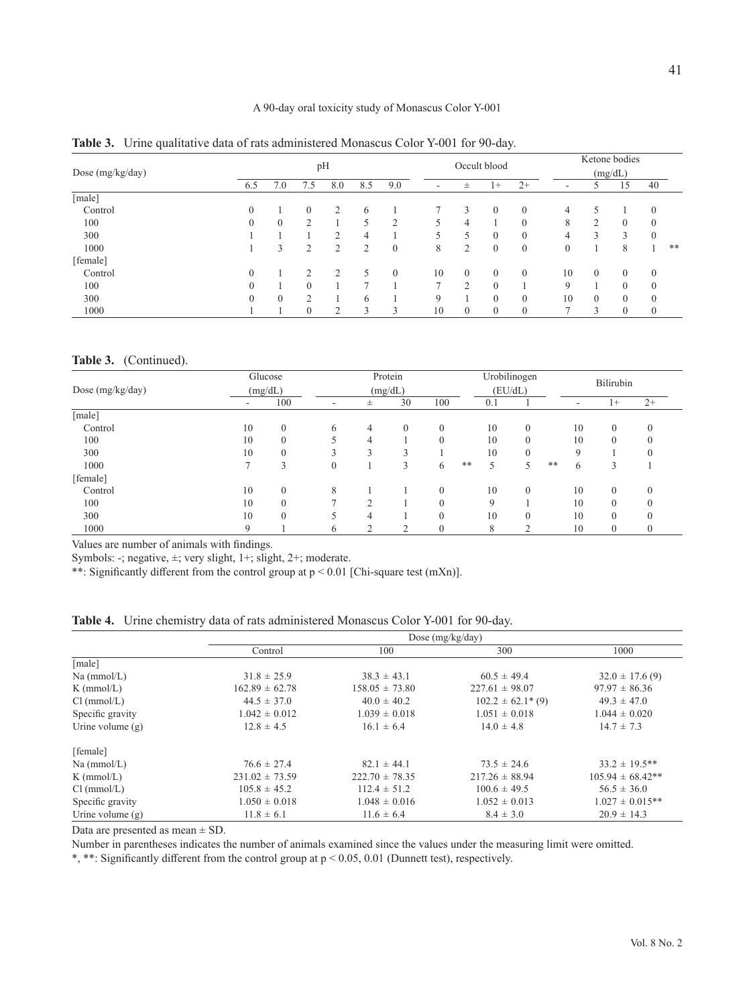# A 90-day oral toxicity study of Monascus Color Y-001

| Dose $(mg/kg/day)$ |                | pH             |            |                |                | Occult blood |                          |                | Ketone bodies<br>(mg/dL) |          |                          |                |              |          |    |
|--------------------|----------------|----------------|------------|----------------|----------------|--------------|--------------------------|----------------|--------------------------|----------|--------------------------|----------------|--------------|----------|----|
|                    | 6.5            | 7.0            | 7.5        | 8.0            | 8.5            | 9.0          | $\overline{\phantom{a}}$ | 士              | $1+$                     | $2+$     | $\overline{\phantom{a}}$ |                | 15           | 40       |    |
| [male]             |                |                |            |                |                |              |                          |                |                          |          |                          |                |              |          |    |
| Control            |                |                | $\Omega$   | $\overline{2}$ | 6              |              |                          | 3              | $\theta$                 | $\Omega$ | 4                        |                |              | $\theta$ |    |
| 100                |                | $\Omega$       | $\bigcirc$ |                |                | ↑            |                          | 4              |                          | $\Omega$ | 8                        | 2              | $\Omega$     | $\theta$ |    |
| 300                |                |                |            | $\bigcirc$     | 4              |              |                          | 5              | $\Omega$                 | $\theta$ | 4                        | 3              | 3            | $\theta$ |    |
| 1000               |                | 3              | $\bigcirc$ | $\overline{2}$ | $\overline{2}$ | $\mathbf{0}$ | 8                        | $\overline{2}$ | $\theta$                 | $\theta$ | $\boldsymbol{0}$         |                | 8            |          | ** |
| [female]           |                |                |            |                |                |              |                          |                |                          |          |                          |                |              |          |    |
| Control            | $\theta$       |                | ↑          | $\overline{2}$ | 5              | $\theta$     | 10                       | $\mathbf{0}$   | $\theta$                 | $\Omega$ | 10                       | $\Omega$       | $\theta$     | $\theta$ |    |
| 100                | $\theta$       |                |            |                | ∍              |              |                          | $\overline{c}$ | $\Omega$                 |          | 9                        |                | $\theta$     | 0        |    |
| 300                | $\overline{0}$ | $\overline{0}$ | ◠          |                | 6              |              | $\mathbf Q$              |                | $\theta$                 | $\theta$ | 10                       | $\overline{0}$ | $\theta$     | $\theta$ |    |
| 1000               |                |                | $\theta$   | $\bigcirc$     | 3              | 3            | 10                       | $\mathbf{0}$   | $\mathbf{0}$             | $\theta$ | $\overline{ }$           | 3              | $\mathbf{0}$ | 0        |    |

**Table 3.** Urine qualitative data of rats administered Monascus Color Y-001 for 90-day.

#### **Table 3.** (Continued).

| Dose (mg/kg/day) |    | Glucose<br>(mg/dL) |              | Protein        |          |              |       | Urobilinogen |                |    | Bilirubin   |                |              |
|------------------|----|--------------------|--------------|----------------|----------|--------------|-------|--------------|----------------|----|-------------|----------------|--------------|
|                  |    |                    |              | (mg/dL)        |          |              |       | (EU/dL)      |                |    |             |                |              |
|                  | ٠  | 100                | -            | 士              | 30       | 100          |       | 0.1          |                |    | ٠           | $1+$           | $2+$         |
| [male]           |    |                    |              |                |          |              |       |              |                |    |             |                |              |
| Control          | 10 | $\mathbf{0}$       | 6            | $\overline{4}$ | $\Omega$ | $\mathbf{0}$ |       | 10           | $\mathbf{0}$   |    | 10          | $\theta$       | $\theta$     |
| 100              | 10 | 0                  |              | 4              |          | $\theta$     |       | 10           | $\mathbf{0}$   |    | 10          | $\theta$       |              |
| 300              | 10 | $\theta$           |              | 3              | $\sim$   |              |       | 10           | $\Omega$       |    | $\mathbf Q$ |                | $\theta$     |
| 1000             |    |                    | $\mathbf{0}$ |                | 3        | 6            | $***$ | 5            | 5              | ** | 6           | 3              |              |
| [female]         |    |                    |              |                |          |              |       |              |                |    |             |                |              |
| Control          | 10 | $\theta$           | 8            |                |          | $\theta$     |       | 10           | $\Omega$       |    | 10          | $\theta$       | $\Omega$     |
| 100              | 10 | 0                  |              | $\bigcap$      |          | $\theta$     |       |              |                |    | 10          | $\overline{0}$ |              |
| 300              | 10 | $\theta$           |              | 4              |          | $\theta$     |       | 10           | $\overline{0}$ |    | 10          | $\overline{0}$ | $\Omega$     |
| 1000             | 9  |                    | 6            | $\overline{2}$ | ↑        | $\mathbf{0}$ |       | 8            | $\bigcirc$     |    | 10          | $\theta$       | $\mathbf{0}$ |

Values are number of animals with findings.

Symbols: -; negative, ±; very slight, 1+; slight, 2+; moderate.

\*\*: Significantly different from the control group at  $p < 0.01$  [Chi-square test (mXn)].

**Table 4.** Urine chemistry data of rats administered Monascus Color Y-001 for 90-day.

|                    |                    |                    | Dose $(mg/kg/day)$          |                      |
|--------------------|--------------------|--------------------|-----------------------------|----------------------|
|                    | Control            | 100                | 300                         | 1000                 |
| [male]             |                    |                    |                             |                      |
| Na (mmol/L)        | $31.8 \pm 25.9$    | $38.3 \pm 43.1$    | $60.5 \pm 49.4$             | $32.0 \pm 17.6$ (9)  |
| $K$ (mmol/L)       | $162.89 \pm 62.78$ | $158.05 \pm 73.80$ | $227.61 \pm 98.07$          | $97.97 \pm 86.36$    |
| Cl (mmol/L)        | $44.5 \pm 37.0$    | $40.0 \pm 40.2$    | $102.2 \pm 62.1^{\ast}$ (9) | $49.3 \pm 47.0$      |
| Specific gravity   | $1.042 \pm 0.012$  | $1.039 \pm 0.018$  | $1.051 \pm 0.018$           | $1.044 \pm 0.020$    |
| Urine volume $(g)$ | $12.8 \pm 4.5$     | $16.1 \pm 6.4$     | $14.0 \pm 4.8$              | $14.7 \pm 7.3$       |
| [female]           |                    |                    |                             |                      |
| $Na$ (mmol/L)      | $76.6 \pm 27.4$    | $82.1 \pm 44.1$    | $73.5 \pm 24.6$             | $33.2 \pm 19.5$ **   |
| $K$ (mmol/L)       | $231.02 \pm 73.59$ | $222.70 \pm 78.35$ | $217.26 \pm 88.94$          | $105.94 \pm 68.42**$ |
| Cl (mmol/L)        | $105.8 \pm 45.2$   | $112.4 \pm 51.2$   | $100.6 \pm 49.5$            | $56.5 \pm 36.0$      |
| Specific gravity   | $1.050 \pm 0.018$  | $1.048 \pm 0.016$  | $1.052 \pm 0.013$           | $1.027 \pm 0.015$ ** |
| Urine volume $(g)$ | $11.8 \pm 6.1$     | $11.6 \pm 6.4$     | $8.4 \pm 3.0$               | $20.9 \pm 14.3$      |

Data are presented as mean ± SD.

Number in parentheses indicates the number of animals examined since the values under the measuring limit were omitted.

\*, \*\*: Significantly different from the control group at p < 0.05, 0.01 (Dunnett test), respectively.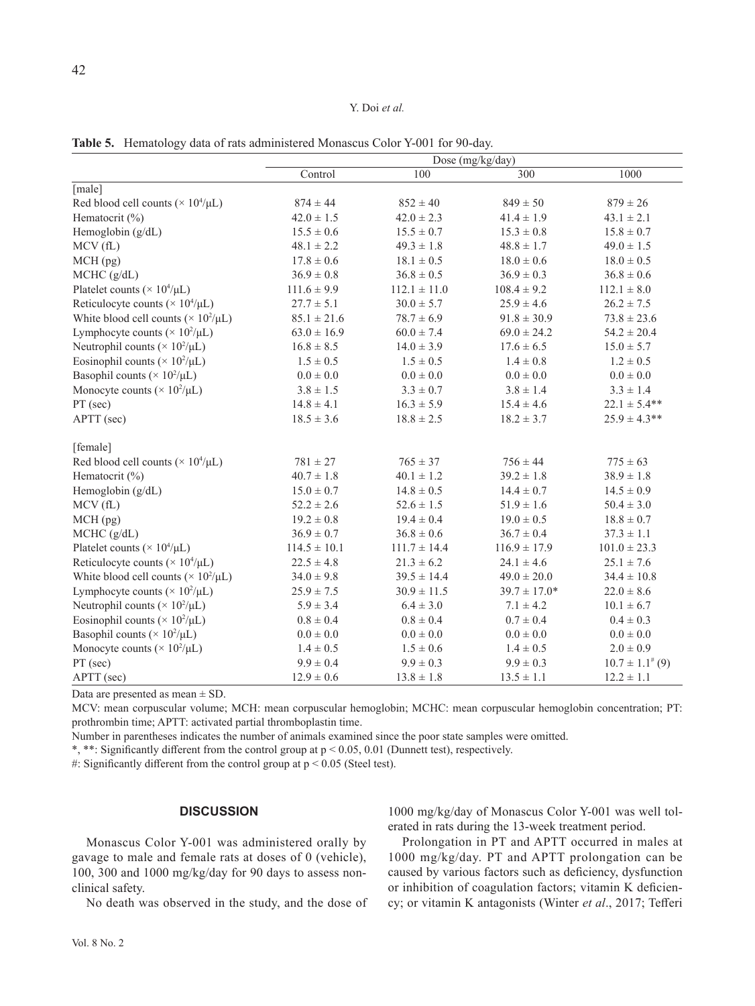|  |  |  | Table 5. Hematology data of rats administered Monascus Color Y-001 for 90-day. |  |  |  |  |
|--|--|--|--------------------------------------------------------------------------------|--|--|--|--|
|--|--|--|--------------------------------------------------------------------------------|--|--|--|--|

|                                                         | Dose (mg/kg/day) |                  |                  |                       |  |  |  |  |
|---------------------------------------------------------|------------------|------------------|------------------|-----------------------|--|--|--|--|
|                                                         | Control          | 100              | 300              | 1000                  |  |  |  |  |
| [male]                                                  |                  |                  |                  |                       |  |  |  |  |
| Red blood cell counts ( $\times$ 10 <sup>4</sup> /µL)   | $874 \pm 44$     | $852 \pm 40$     | $849 \pm 50$     | $879 \pm 26$          |  |  |  |  |
| Hematocrit $(\%)$                                       | $42.0 \pm 1.5$   | $42.0 \pm 2.3$   | $41.4 \pm 1.9$   | $43.1 \pm 2.1$        |  |  |  |  |
| Hemoglobin (g/dL)                                       | $15.5\pm0.6$     | $15.5 \pm 0.7$   | $15.3 \pm 0.8$   | $15.8 \pm 0.7$        |  |  |  |  |
| MCV(fL)                                                 | $48.1 \pm 2.2$   | $49.3 \pm 1.8$   | $48.8 \pm 1.7$   | $49.0 \pm 1.5$        |  |  |  |  |
| MCH(pg)                                                 | $17.8 \pm 0.6$   | $18.1 \pm 0.5$   | $18.0 \pm 0.6$   | $18.0 \pm 0.5$        |  |  |  |  |
| MCHC (g/dL)                                             | $36.9 \pm 0.8$   | $36.8\pm0.5$     | $36.9 \pm 0.3$   | $36.8 \pm 0.6$        |  |  |  |  |
| Platelet counts ( $\times$ 10 <sup>4</sup> /µL)         | $111.6 \pm 9.9$  | $112.1 \pm 11.0$ | $108.4 \pm 9.2$  | $112.1\pm8.0$         |  |  |  |  |
| Reticulocyte counts ( $\times$ 10 <sup>4</sup> /µL)     | $27.7 \pm 5.1$   | $30.0 \pm 5.7$   | $25.9 \pm 4.6$   | $26.2 \pm 7.5$        |  |  |  |  |
| White blood cell counts ( $\times$ 10 <sup>2</sup> /µL) | $85.1 \pm 21.6$  | $78.7 \pm 6.9$   | $91.8 \pm 30.9$  | $73.8 \pm 23.6$       |  |  |  |  |
| Lymphocyte counts ( $\times$ 10 <sup>2</sup> /µL)       | $63.0 \pm 16.9$  | $60.0 \pm 7.4$   | $69.0 \pm 24.2$  | $54.2 \pm 20.4$       |  |  |  |  |
| Neutrophil counts ( $\times$ 10 <sup>2</sup> /µL)       | $16.8 \pm 8.5$   | $14.0 \pm 3.9$   | $17.6 \pm 6.5$   | $15.0 \pm 5.7$        |  |  |  |  |
| Eosinophil counts ( $\times$ 10 <sup>2</sup> /µL)       | $1.5 \pm 0.5$    | $1.5 \pm 0.5$    | $1.4 \pm 0.8$    | $1.2 \pm 0.5$         |  |  |  |  |
| Basophil counts ( $\times$ 10 <sup>2</sup> /µL)         | $0.0 \pm 0.0$    | $0.0 \pm 0.0$    | $0.0 \pm 0.0$    | $0.0 \pm 0.0$         |  |  |  |  |
| Monocyte counts ( $\times$ 10 <sup>2</sup> /µL)         | $3.8 \pm 1.5$    | $3.3 \pm 0.7$    | $3.8 \pm 1.4$    | $3.3 \pm 1.4$         |  |  |  |  |
| PT (sec)                                                | $14.8 \pm 4.1$   | $16.3 \pm 5.9$   | $15.4 \pm 4.6$   | $22.1 \pm 5.4**$      |  |  |  |  |
| APTT (sec)                                              | $18.5 \pm 3.6$   | $18.8 \pm 2.5$   | $18.2 \pm 3.7$   | $25.9 \pm 4.3$ **     |  |  |  |  |
| [female]                                                |                  |                  |                  |                       |  |  |  |  |
| Red blood cell counts ( $\times$ 10 <sup>4</sup> /µL)   | $781\pm27$       | $765 \pm 37$     | $756 \pm 44$     | $775 \pm 63$          |  |  |  |  |
| Hematocrit (%)                                          | $40.7 \pm 1.8$   | $40.1 \pm 1.2$   | $39.2 \pm 1.8$   | $38.9 \pm 1.8$        |  |  |  |  |
| Hemoglobin (g/dL)                                       | $15.0 \pm 0.7$   | $14.8 \pm 0.5$   | $14.4 \pm 0.7$   | $14.5 \pm 0.9$        |  |  |  |  |
| MCV(fL)                                                 | $52.2 \pm 2.6$   | $52.6 \pm 1.5$   | $51.9 \pm 1.6$   | $50.4 \pm 3.0$        |  |  |  |  |
| $MCH$ (pg)                                              | $19.2 \pm 0.8$   | $19.4 \pm 0.4$   | $19.0 \pm 0.5$   | $18.8 \pm 0.7$        |  |  |  |  |
| MCHC (g/dL)                                             | $36.9 \pm 0.7$   | $36.8 \pm 0.6$   | $36.7 \pm 0.4$   | $37.3 \pm 1.1$        |  |  |  |  |
| Platelet counts ( $\times$ 10 <sup>4</sup> /µL)         | $114.5 \pm 10.1$ | $111.7 \pm 14.4$ | $116.9 \pm 17.9$ | $101.0 \pm 23.3$      |  |  |  |  |
| Reticulocyte counts ( $\times$ 10 <sup>4</sup> /µL)     | $22.5 \pm 4.8$   | $21.3 \pm 6.2$   | $24.1 \pm 4.6$   | $25.1 \pm 7.6$        |  |  |  |  |
| White blood cell counts ( $\times$ 10 <sup>2</sup> /µL) | $34.0 \pm 9.8$   | $39.5 \pm 14.4$  | $49.0 \pm 20.0$  | $34.4 \pm 10.8$       |  |  |  |  |
| Lymphocyte counts ( $\times$ 10 <sup>2</sup> /µL)       | $25.9 \pm 7.5$   | $30.9 \pm 11.5$  | $39.7 \pm 17.0*$ | $22.0 \pm 8.6$        |  |  |  |  |
| Neutrophil counts ( $\times$ 10 <sup>2</sup> /µL)       | $5.9 \pm 3.4$    | $6.4 \pm 3.0$    | $7.1 \pm 4.2$    | $10.1 \pm 6.7$        |  |  |  |  |
| Eosinophil counts ( $\times$ 10 <sup>2</sup> /µL)       | $0.8 \pm 0.4$    | $0.8 \pm 0.4$    | $0.7 \pm 0.4$    | $0.4 \pm 0.3$         |  |  |  |  |
| Basophil counts ( $\times$ 10 <sup>2</sup> /µL)         | $0.0 \pm 0.0$    | $0.0 \pm 0.0$    | $0.0 \pm 0.0$    | $0.0 \pm 0.0$         |  |  |  |  |
| Monocyte counts ( $\times$ 10 <sup>2</sup> /µL)         | $1.4 \pm 0.5$    | $1.5 \pm 0.6$    | $1.4 \pm 0.5$    | $2.0 \pm 0.9$         |  |  |  |  |
| PT (sec)                                                | $9.9 \pm 0.4$    | $9.9 \pm 0.3$    | $9.9 \pm 0.3$    | $10.7 \pm 1.1^{*}(9)$ |  |  |  |  |
| APTT (sec)                                              | $12.9 \pm 0.6$   | $13.8 \pm 1.8$   | $13.5 \pm 1.1$   | $12.2 \pm 1.1$        |  |  |  |  |

Data are presented as mean  $\pm$  SD.

MCV: mean corpuscular volume; MCH: mean corpuscular hemoglobin; MCHC: mean corpuscular hemoglobin concentration; PT: prothrombin time; APTT: activated partial thromboplastin time.

Number in parentheses indicates the number of animals examined since the poor state samples were omitted.

\*, \*\*: Significantly different from the control group at p < 0.05, 0.01 (Dunnett test), respectively.

#: Significantly different from the control group at  $p < 0.05$  (Steel test).

# **DISCUSSION**

Monascus Color Y-001 was administered orally by gavage to male and female rats at doses of 0 (vehicle), 100, 300 and 1000 mg/kg/day for 90 days to assess nonclinical safety.

No death was observed in the study, and the dose of

1000 mg/kg/day of Monascus Color Y-001 was well tolerated in rats during the 13-week treatment period.

Prolongation in PT and APTT occurred in males at 1000 mg/kg/day. PT and APTT prolongation can be caused by various factors such as deficiency, dysfunction or inhibition of coagulation factors; vitamin K deficiency; or vitamin K antagonists (Winter *et al*., 2017; Tefferi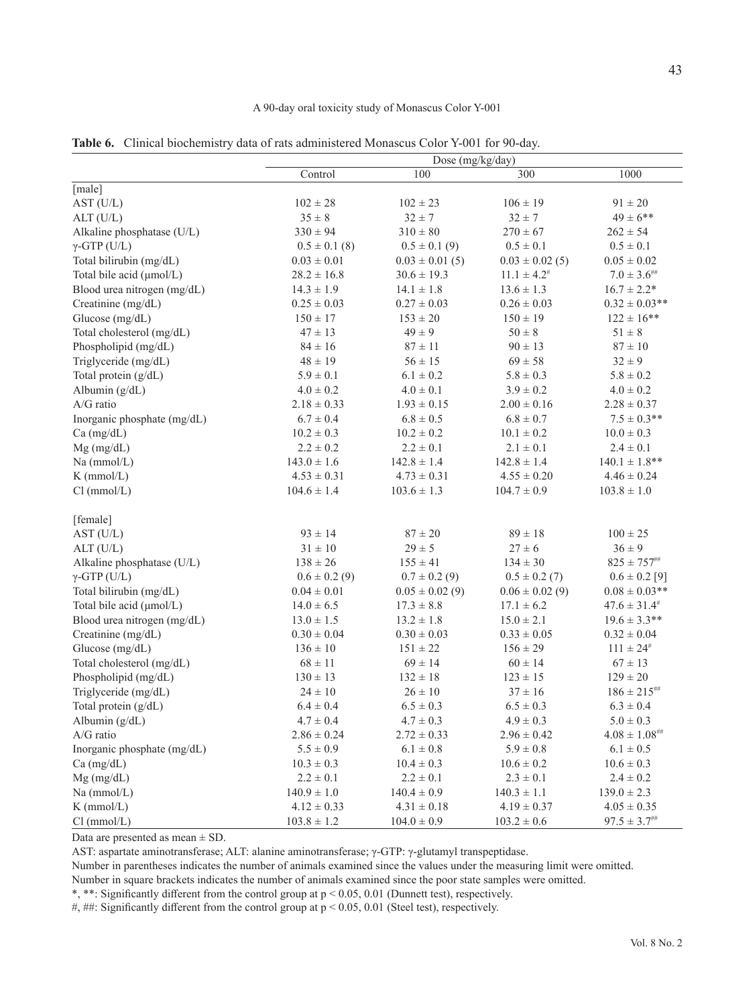#### A 90-day oral toxicity study of Monascus Color Y-001

**Table 6.** Clinical biochemistry data of rats administered Monascus Color Y-001 for 90-day.

|                             |                   | Dose $(mg/kg/day)$  |                            |                                                               |
|-----------------------------|-------------------|---------------------|----------------------------|---------------------------------------------------------------|
|                             | Control           | 100                 | 300                        | 1000                                                          |
| [male]                      |                   |                     |                            |                                                               |
| AST (U/L)                   | $102\pm28$        | $102 \pm 23$        | $106 \pm 19$               | $91\pm20$                                                     |
| ALT (U/L)                   | $35 \pm 8$        | $32 \pm 7$          | $32 \pm 7$                 | $49 \pm 6$ **                                                 |
| Alkaline phosphatase (U/L)  | $330 \pm 94$      | $310 \pm 80$        | $270 \pm 67$               | $262 \pm 54$                                                  |
| $\gamma$ -GTP (U/L)         | $0.5 \pm 0.1$ (8) | $0.5 \pm 0.1$ (9)   | $0.5 \pm 0.1$              | $0.5 \pm 0.1$                                                 |
| Total bilirubin (mg/dL)     | $0.03 \pm 0.01$   | $0.03 \pm 0.01(5)$  | $0.03 \pm 0.02$ (5)        | $0.05\pm0.02$                                                 |
| Total bile acid (µmol/L)    | $28.2 \pm 16.8$   | $30.6 \pm 19.3$     | $11.1 \pm 4.2^{\text{\#}}$ | $7.0\pm3.6^{\text{\tiny{HH}}}$                                |
| Blood urea nitrogen (mg/dL) | $14.3 \pm 1.9$    | $14.1 \pm 1.8$      | $13.6 \pm 1.3$             | $16.7 \pm 2.2*$                                               |
| Creatinine (mg/dL)          | $0.25 \pm 0.03$   | $0.27 \pm 0.03$     | $0.26 \pm 0.03$            | $0.32 \pm 0.03$ **                                            |
| Glucose (mg/dL)             | $150 \pm 17$      | $153 \pm 20$        | $150 \pm 19$               | $122 \pm 16$ **                                               |
| Total cholesterol (mg/dL)   | $47 \pm 13$       | $49 \pm 9$          | $50 \pm 8$                 | $51\pm8$                                                      |
| Phospholipid (mg/dL)        | $84 \pm 16$       | $87\pm11$           | $90 \pm 13$                | $87\pm10$                                                     |
| Triglyceride (mg/dL)        | $48 \pm 19$       | $56 \pm 15$         | $69 \pm 58$                | $32 \pm 9$                                                    |
| Total protein (g/dL)        | $5.9 \pm 0.1$     | $6.1 \pm 0.2$       | $5.8 \pm 0.3$              | $5.8\pm0.2$                                                   |
| Albumin (g/dL)              | $4.0 \pm 0.2$     | $4.0 \pm 0.1$       | $3.9 \pm 0.2$              | $4.0 \pm 0.2$                                                 |
| A/G ratio                   | $2.18 \pm 0.33$   | $1.93 \pm 0.15$     | $2.00 \pm 0.16$            | $2.28\pm0.37$                                                 |
| Inorganic phosphate (mg/dL) | $6.7 \pm 0.4$     | $6.8 \pm 0.5$       | $6.8\pm0.7$                | $7.5 \pm 0.3$ **                                              |
| Ca (mg/dL)                  | $10.2 \pm 0.3$    | $10.2\pm0.2$        | $10.1\pm0.2$               | $10.0 \pm 0.3$                                                |
| $Mg$ (mg/dL)                | $2.2 \pm 0.2$     | $2.2 \pm 0.1$       | $2.1 \pm 0.1$              | $2.4 \pm 0.1$                                                 |
| Na (mmol/L)                 | $143.0 \pm 1.6$   | $142.8 \pm 1.4$     | $142.8 \pm 1.4$            | $140.1 \pm 1.8$ **                                            |
| $K$ (mmol/L)                | $4.53 \pm 0.31$   | $4.73 \pm 0.31$     | $4.55 \pm 0.20$            | $4.46 \pm 0.24$                                               |
| Cl (mmol/L)                 | $104.6 \pm 1.4$   | $103.6 \pm 1.3$     | $104.7 \pm 0.9$            | $103.8 \pm 1.0$                                               |
| [female]                    |                   |                     |                            |                                                               |
| AST (U/L)                   | $93 \pm 14$       | $87\pm20$           | $89\pm18$                  | $100\pm25$                                                    |
| ALT (U/L)                   | $31\pm10$         | $29 \pm 5$          | $27 \pm 6$                 | $36 \pm 9$                                                    |
| Alkaline phosphatase (U/L)  | $138\pm26$        | $155 \pm 41$        | $134 \pm 30$               | $825 \pm 757^{ \text{\tiny{HH}}}$                             |
| $\gamma$ -GTP (U/L)         | $0.6 \pm 0.2$ (9) | $0.7 \pm 0.2$ (9)   | $0.5 \pm 0.2$ (7)          | $0.6 \pm 0.2$ [9]                                             |
| Total bilirubin (mg/dL)     | $0.04 \pm 0.01$   | $0.05 \pm 0.02$ (9) | $0.06 \pm 0.02$ (9)        | $0.08 \pm 0.03$ **                                            |
| Total bile acid (µmol/L)    | $14.0 \pm 6.5$    | $17.3 \pm 8.8$      | $17.1 \pm 6.2$             | $47.6 \pm 31.4^{\#}$                                          |
| Blood urea nitrogen (mg/dL) | $13.0 \pm 1.5$    | $13.2 \pm 1.8$      | $15.0 \pm 2.1$             | $19.6 \pm 3.3$ **                                             |
| Creatinine (mg/dL)          | $0.30 \pm 0.04$   | $0.30 \pm 0.03$     | $0.33 \pm 0.05$            | $0.32 \pm 0.04$                                               |
| Glucose (mg/dL)             | $136\pm10$        | $151 \pm 22$        | $156 \pm 29$               | $111 \pm 24$ <sup>#</sup>                                     |
| Total cholesterol (mg/dL)   | $68\pm11$         | $69 \pm 14$         | $60 \pm 14$                | $67 \pm 13$                                                   |
| Phospholipid (mg/dL)        | $130 \pm 13$      | $132 \pm 18$        | $123 \pm 15$               | $129 \pm 20$                                                  |
| Triglyceride (mg/dL)        | $24 \pm 10$       | $26 \pm 10$         | $37 \pm 16$                | $186 \pm 215^{ \text{\tiny\it{HH}}}$                          |
| Total protein (g/dL)        | $6.4 \pm 0.4$     | $6.5 \pm 0.3$       | $6.5 \pm 0.3$              | $6.3 \pm 0.4$                                                 |
| Albumin (g/dL)              | $4.7 \pm 0.4$     | $4.7 \pm 0.3$       | $4.9 \pm 0.3$              | $5.0 \pm 0.3$                                                 |
| $A/G$ ratio                 | $2.86 \pm 0.24$   | $2.72 \pm 0.33$     | $2.96 \pm 0.42$            | $4.08 \pm 1.08^{ \rm \scriptscriptstyle{HH}}$                 |
| Inorganic phosphate (mg/dL) | $5.5\pm0.9$       | $6.1 \pm 0.8$       | $5.9 \pm 0.8$              | $6.1 \pm 0.5$                                                 |
| Ca (mg/dL)                  | $10.3 \pm 0.3$    | $10.4 \pm 0.3$      | $10.6 \pm 0.2$             | $10.6 \pm 0.3$                                                |
| $Mg$ (mg/dL)                | $2.2 \pm 0.1$     | $2.2 \pm 0.1$       | $2.3\pm0.1$                | $2.4 \pm 0.2$                                                 |
| $Na$ (mmol/L)               | $140.9 \pm 1.0$   | $140.4 \pm 0.9$     | $140.3 \pm 1.1$            | $139.0 \pm 2.3$                                               |
| $K$ (mmol/L)                | $4.12 \pm 0.33$   | $4.31 \pm 0.18$     | $4.19 \pm 0.37$            | $4.05 \pm 0.35$                                               |
| Cl (mmol/L)                 | $103.8 \pm 1.2$   | $104.0 \pm 0.9$     | $103.2 \pm 0.6$            | $97.5 \pm 3.7^{ \scriptscriptstyle \# \scriptscriptstyle \#}$ |

Data are presented as mean  $\pm$  SD.

AST: aspartate aminotransferase; ALT: alanine aminotransferase; γ-GTP: γ-glutamyl transpeptidase.

Number in parentheses indicates the number of animals examined since the values under the measuring limit were omitted.

Number in square brackets indicates the number of animals examined since the poor state samples were omitted.

\*, \*\*: Significantly different from the control group at p < 0.05, 0.01 (Dunnett test), respectively.

#, ##: Significantly different from the control group at  $p < 0.05$ , 0.01 (Steel test), respectively.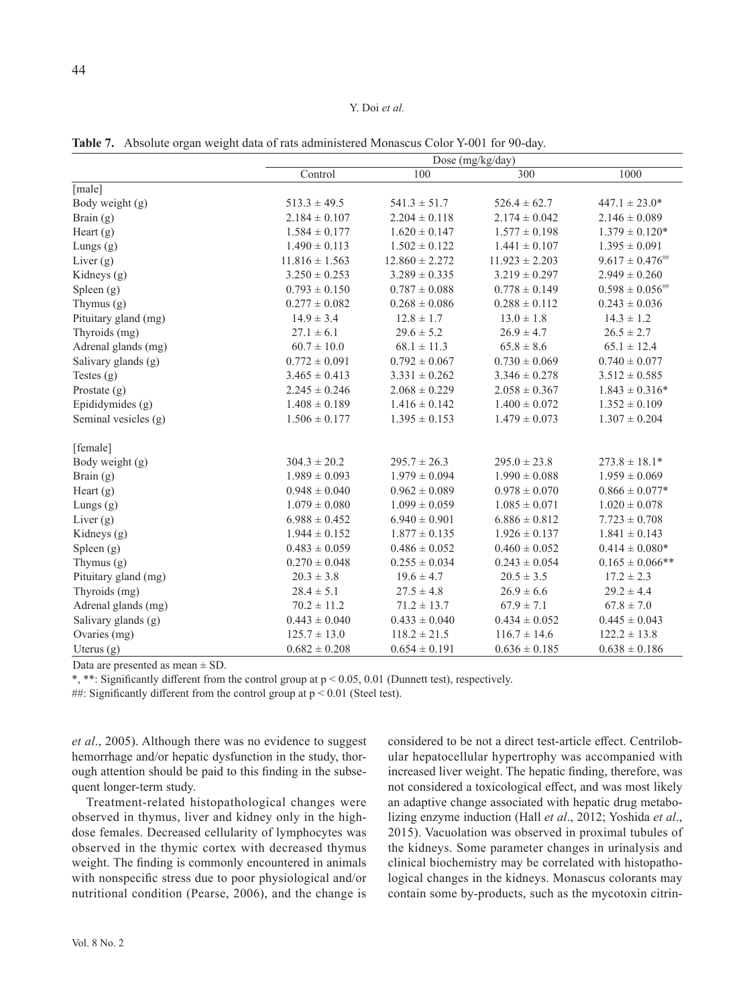**Table 7.** Absolute organ weight data of rats administered Monascus Color Y-001 for 90-day.

|                      | Dose (mg/kg/day)   |                    |                    |                         |  |  |  |  |
|----------------------|--------------------|--------------------|--------------------|-------------------------|--|--|--|--|
|                      | Control            | 100                | 300                | 1000                    |  |  |  |  |
| [male]               |                    |                    |                    |                         |  |  |  |  |
| Body weight (g)      | $513.3 \pm 49.5$   | $541.3 \pm 51.7$   | $526.4 \pm 62.7$   | $447.1 \pm 23.0*$       |  |  |  |  |
| Brain (g)            | $2.184 \pm 0.107$  | $2.204 \pm 0.118$  | $2.174 \pm 0.042$  | $2.146 \pm 0.089$       |  |  |  |  |
| Heart $(g)$          | $1.584 \pm 0.177$  | $1.620 \pm 0.147$  | $1.577 \pm 0.198$  | $1.379 \pm 0.120*$      |  |  |  |  |
| Lungs $(g)$          | $1.490 \pm 0.113$  | $1.502 \pm 0.122$  | $1.441 \pm 0.107$  | $1.395 \pm 0.091$       |  |  |  |  |
| Liver $(g)$          | $11.816 \pm 1.563$ | $12.860 \pm 2.272$ | $11.923 \pm 2.203$ | $9.617 \pm 0.476^{***}$ |  |  |  |  |
| Kidneys (g)          | $3.250 \pm 0.253$  | $3.289 \pm 0.335$  | $3.219 \pm 0.297$  | $2.949 \pm 0.260$       |  |  |  |  |
| Spleen $(g)$         | $0.793 \pm 0.150$  | $0.787 \pm 0.088$  | $0.778 \pm 0.149$  | $0.598 \pm 0.056^{***}$ |  |  |  |  |
| Thymus (g)           | $0.277 \pm 0.082$  | $0.268 \pm 0.086$  | $0.288 \pm 0.112$  | $0.243 \pm 0.036$       |  |  |  |  |
| Pituitary gland (mg) | $14.9 \pm 3.4$     | $12.8 \pm 1.7$     | $13.0 \pm 1.8$     | $14.3 \pm 1.2$          |  |  |  |  |
| Thyroids (mg)        | $27.1 \pm 6.1$     | $29.6 \pm 5.2$     | $26.9 \pm 4.7$     | $26.5 \pm 2.7$          |  |  |  |  |
| Adrenal glands (mg)  | $60.7 \pm 10.0$    | $68.1 \pm 11.3$    | $65.8 \pm 8.6$     | $65.1 \pm 12.4$         |  |  |  |  |
| Salivary glands (g)  | $0.772 \pm 0.091$  | $0.792 \pm 0.067$  | $0.730 \pm 0.069$  | $0.740 \pm 0.077$       |  |  |  |  |
| Testes $(g)$         | $3.465 \pm 0.413$  | $3.331 \pm 0.262$  | $3.346 \pm 0.278$  | $3.512 \pm 0.585$       |  |  |  |  |
| Prostate $(g)$       | $2.245 \pm 0.246$  | $2.068 \pm 0.229$  | $2.058 \pm 0.367$  | $1.843 \pm 0.316*$      |  |  |  |  |
| Epididymides (g)     | $1.408 \pm 0.189$  | $1.416 \pm 0.142$  | $1.400 \pm 0.072$  | $1.352 \pm 0.109$       |  |  |  |  |
| Seminal vesicles (g) | $1.506 \pm 0.177$  | $1.395 \pm 0.153$  | $1.479 \pm 0.073$  | $1.307 \pm 0.204$       |  |  |  |  |
| [female]             |                    |                    |                    |                         |  |  |  |  |
| Body weight (g)      | $304.3 \pm 20.2$   | $295.7 \pm 26.3$   | $295.0 \pm 23.8$   | $273.8 \pm 18.1*$       |  |  |  |  |
| Brain $(g)$          | $1.989 \pm 0.093$  | $1.979 \pm 0.094$  | $1.990 \pm 0.088$  | $1.959 \pm 0.069$       |  |  |  |  |
| Heart $(g)$          | $0.948 \pm 0.040$  | $0.962 \pm 0.089$  | $0.978 \pm 0.070$  | $0.866 \pm 0.077*$      |  |  |  |  |
| Lungs $(g)$          | $1.079 \pm 0.080$  | $1.099 \pm 0.059$  | $1.085 \pm 0.071$  | $1.020 \pm 0.078$       |  |  |  |  |
| Liver $(g)$          | $6.988 \pm 0.452$  | $6.940 \pm 0.901$  | $6.886 \pm 0.812$  | $7.723 \pm 0.708$       |  |  |  |  |
| Kidneys (g)          | $1.944 \pm 0.152$  | $1.877 \pm 0.135$  | $1.926 \pm 0.137$  | $1.841 \pm 0.143$       |  |  |  |  |
| Spleen $(g)$         | $0.483 \pm 0.059$  | $0.486 \pm 0.052$  | $0.460 \pm 0.052$  | $0.414 \pm 0.080*$      |  |  |  |  |
| Thymus (g)           | $0.270 \pm 0.048$  | $0.255 \pm 0.034$  | $0.243 \pm 0.054$  | $0.165 \pm 0.066$ **    |  |  |  |  |
| Pituitary gland (mg) | $20.3 \pm 3.8$     | $19.6 \pm 4.7$     | $20.5 \pm 3.5$     | $17.2 \pm 2.3$          |  |  |  |  |
| Thyroids (mg)        | $28.4 \pm 5.1$     | $27.5 \pm 4.8$     | $26.9 \pm 6.6$     | $29.2 \pm 4.4$          |  |  |  |  |
| Adrenal glands (mg)  | $70.2 \pm 11.2$    | $71.2 \pm 13.7$    | $67.9 \pm 7.1$     | $67.8 \pm 7.0$          |  |  |  |  |
| Salivary glands (g)  | $0.443 \pm 0.040$  | $0.433 \pm 0.040$  | $0.434 \pm 0.052$  | $0.445 \pm 0.043$       |  |  |  |  |
| Ovaries (mg)         | $125.7 \pm 13.0$   | $118.2 \pm 21.5$   | $116.7 \pm 14.6$   | $122.2 \pm 13.8$        |  |  |  |  |
| Uterus $(g)$         | $0.682 \pm 0.208$  | $0.654 \pm 0.191$  | $0.636 \pm 0.185$  | $0.638 \pm 0.186$       |  |  |  |  |

Data are presented as mean  $\pm$  SD.

\*, \*\*: Significantly different from the control group at p < 0.05, 0.01 (Dunnett test), respectively.

##: Significantly different from the control group at  $p < 0.01$  (Steel test).

*et al*., 2005). Although there was no evidence to suggest hemorrhage and/or hepatic dysfunction in the study, thorough attention should be paid to this finding in the subsequent longer-term study.

Treatment-related histopathological changes were observed in thymus, liver and kidney only in the highdose females. Decreased cellularity of lymphocytes was observed in the thymic cortex with decreased thymus weight. The finding is commonly encountered in animals with nonspecific stress due to poor physiological and/or nutritional condition (Pearse, 2006), and the change is considered to be not a direct test-article effect. Centrilobular hepatocellular hypertrophy was accompanied with increased liver weight. The hepatic finding, therefore, was not considered a toxicological effect, and was most likely an adaptive change associated with hepatic drug metabolizing enzyme induction (Hall *et al*., 2012; Yoshida *et al*., 2015). Vacuolation was observed in proximal tubules of the kidneys. Some parameter changes in urinalysis and clinical biochemistry may be correlated with histopathological changes in the kidneys. Monascus colorants may contain some by-products, such as the mycotoxin citrin-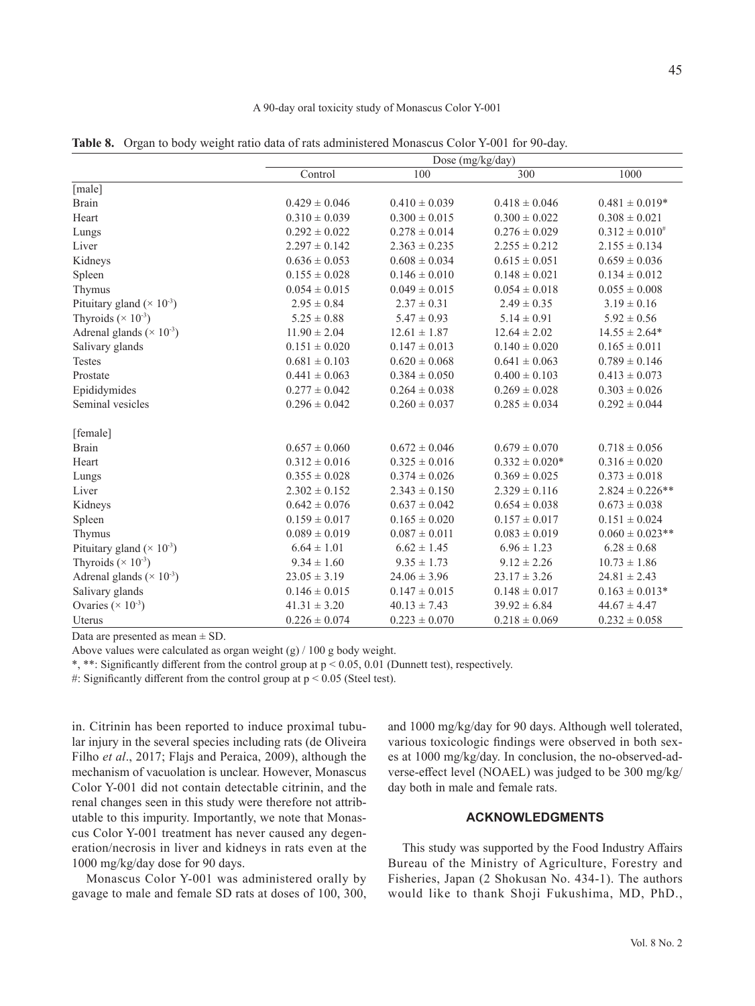#### A 90-day oral toxicity study of Monascus Color Y-001

**Table 8.** Organ to body weight ratio data of rats administered Monascus Color Y-001 for 90-day.

|                                               |                   | Dose (mg/kg/day)  |                    |                      |  |  |  |  |  |  |
|-----------------------------------------------|-------------------|-------------------|--------------------|----------------------|--|--|--|--|--|--|
|                                               | Control           | 100               | 300                | 1000                 |  |  |  |  |  |  |
| [male]                                        |                   |                   |                    |                      |  |  |  |  |  |  |
| <b>Brain</b>                                  | $0.429 \pm 0.046$ | $0.410 \pm 0.039$ | $0.418 \pm 0.046$  | $0.481 \pm 0.019*$   |  |  |  |  |  |  |
| Heart                                         | $0.310 \pm 0.039$ | $0.300 \pm 0.015$ | $0.300 \pm 0.022$  | $0.308 \pm 0.021$    |  |  |  |  |  |  |
| Lungs                                         | $0.292 \pm 0.022$ | $0.278 \pm 0.014$ | $0.276 \pm 0.029$  | $0.312 \pm 0.010^*$  |  |  |  |  |  |  |
| Liver                                         | $2.297 \pm 0.142$ | $2.363 \pm 0.235$ | $2.255 \pm 0.212$  | $2.155 \pm 0.134$    |  |  |  |  |  |  |
| Kidneys                                       | $0.636 \pm 0.053$ | $0.608 \pm 0.034$ | $0.615 \pm 0.051$  | $0.659 \pm 0.036$    |  |  |  |  |  |  |
| Spleen                                        | $0.155 \pm 0.028$ | $0.146 \pm 0.010$ | $0.148 \pm 0.021$  | $0.134 \pm 0.012$    |  |  |  |  |  |  |
| Thymus                                        | $0.054 \pm 0.015$ | $0.049 \pm 0.015$ | $0.054 \pm 0.018$  | $0.055\pm0.008$      |  |  |  |  |  |  |
| Pituitary gland ( $\times$ 10 <sup>-3</sup> ) | $2.95 \pm 0.84$   | $2.37 \pm 0.31$   | $2.49 \pm 0.35$    | $3.19 \pm 0.16$      |  |  |  |  |  |  |
| Thyroids ( $\times$ 10 <sup>-3</sup> )        | $5.25 \pm 0.88$   | $5.47 \pm 0.93$   | $5.14 \pm 0.91$    | $5.92 \pm 0.56$      |  |  |  |  |  |  |
| Adrenal glands ( $\times$ 10 <sup>-3</sup> )  | $11.90 \pm 2.04$  | $12.61 \pm 1.87$  | $12.64 \pm 2.02$   | $14.55 \pm 2.64*$    |  |  |  |  |  |  |
| Salivary glands                               | $0.151 \pm 0.020$ | $0.147 \pm 0.013$ | $0.140 \pm 0.020$  | $0.165 \pm 0.011$    |  |  |  |  |  |  |
| <b>Testes</b>                                 | $0.681 \pm 0.103$ | $0.620 \pm 0.068$ | $0.641 \pm 0.063$  | $0.789 \pm 0.146$    |  |  |  |  |  |  |
| Prostate                                      | $0.441 \pm 0.063$ | $0.384 \pm 0.050$ | $0.400 \pm 0.103$  | $0.413 \pm 0.073$    |  |  |  |  |  |  |
| Epididymides                                  | $0.277 \pm 0.042$ | $0.264 \pm 0.038$ | $0.269 \pm 0.028$  | $0.303 \pm 0.026$    |  |  |  |  |  |  |
| Seminal vesicles                              | $0.296 \pm 0.042$ | $0.260 \pm 0.037$ | $0.285 \pm 0.034$  | $0.292 \pm 0.044$    |  |  |  |  |  |  |
| [female]                                      |                   |                   |                    |                      |  |  |  |  |  |  |
| Brain                                         | $0.657 \pm 0.060$ | $0.672 \pm 0.046$ | $0.679 \pm 0.070$  | $0.718 \pm 0.056$    |  |  |  |  |  |  |
| Heart                                         | $0.312 \pm 0.016$ | $0.325 \pm 0.016$ | $0.332 \pm 0.020*$ | $0.316 \pm 0.020$    |  |  |  |  |  |  |
| Lungs                                         | $0.355 \pm 0.028$ | $0.374 \pm 0.026$ | $0.369 \pm 0.025$  | $0.373 \pm 0.018$    |  |  |  |  |  |  |
| Liver                                         | $2.302 \pm 0.152$ | $2.343 \pm 0.150$ | $2.329 \pm 0.116$  | $2.824 \pm 0.226$ ** |  |  |  |  |  |  |
| Kidneys                                       | $0.642 \pm 0.076$ | $0.637 \pm 0.042$ | $0.654 \pm 0.038$  | $0.673 \pm 0.038$    |  |  |  |  |  |  |
| Spleen                                        | $0.159 \pm 0.017$ | $0.165 \pm 0.020$ | $0.157 \pm 0.017$  | $0.151 \pm 0.024$    |  |  |  |  |  |  |
| Thymus                                        | $0.089 \pm 0.019$ | $0.087 \pm 0.011$ | $0.083 \pm 0.019$  | $0.060 \pm 0.023$ ** |  |  |  |  |  |  |
| Pituitary gland ( $\times$ 10 <sup>-3</sup> ) | $6.64 \pm 1.01$   | $6.62 \pm 1.45$   | $6.96 \pm 1.23$    | $6.28 \pm 0.68$      |  |  |  |  |  |  |
| Thyroids ( $\times$ 10 <sup>-3</sup> )        | $9.34 \pm 1.60$   | $9.35 \pm 1.73$   | $9.12 \pm 2.26$    | $10.73 \pm 1.86$     |  |  |  |  |  |  |
| Adrenal glands ( $\times$ 10 <sup>-3</sup> )  | $23.05 \pm 3.19$  | $24.06 \pm 3.96$  | $23.17 \pm 3.26$   | $24.81 \pm 2.43$     |  |  |  |  |  |  |
| Salivary glands                               | $0.146 \pm 0.015$ | $0.147 \pm 0.015$ | $0.148 \pm 0.017$  | $0.163 \pm 0.013*$   |  |  |  |  |  |  |
| Ovaries ( $\times$ 10 <sup>-3</sup> )         | $41.31 \pm 3.20$  | $40.13 \pm 7.43$  | $39.92 \pm 6.84$   | $44.67 \pm 4.47$     |  |  |  |  |  |  |
| Uterus                                        | $0.226 \pm 0.074$ | $0.223 \pm 0.070$ | $0.218 \pm 0.069$  | $0.232 \pm 0.058$    |  |  |  |  |  |  |

Data are presented as mean ± SD.

Above values were calculated as organ weight (g) / 100 g body weight.

\*, \*\*: Significantly different from the control group at p < 0.05, 0.01 (Dunnett test), respectively.

#: Significantly different from the control group at  $p < 0.05$  (Steel test).

in. Citrinin has been reported to induce proximal tubular injury in the several species including rats (de Oliveira Filho *et al*., 2017; Flajs and Peraica, 2009), although the mechanism of vacuolation is unclear. However, Monascus Color Y-001 did not contain detectable citrinin, and the renal changes seen in this study were therefore not attributable to this impurity. Importantly, we note that Monascus Color Y-001 treatment has never caused any degeneration/necrosis in liver and kidneys in rats even at the 1000 mg/kg/day dose for 90 days.

Monascus Color Y-001 was administered orally by gavage to male and female SD rats at doses of 100, 300, and 1000 mg/kg/day for 90 days. Although well tolerated, various toxicologic findings were observed in both sexes at 1000 mg/kg/day. In conclusion, the no-observed-adverse-effect level (NOAEL) was judged to be 300 mg/kg/ day both in male and female rats.

# **ACKNOWLEDGMENTS**

This study was supported by the Food Industry Affairs Bureau of the Ministry of Agriculture, Forestry and Fisheries, Japan (2 Shokusan No. 434-1). The authors would like to thank Shoji Fukushima, MD, PhD.,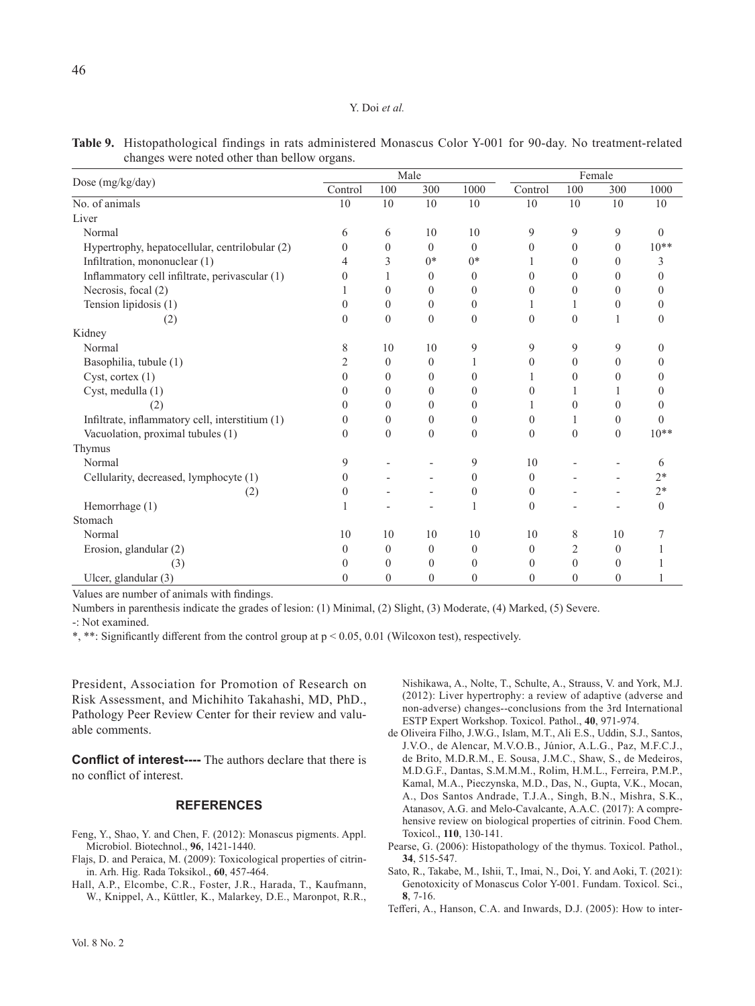|                                                 |          |                | Male             |                |              | Female         |                |          |  |
|-------------------------------------------------|----------|----------------|------------------|----------------|--------------|----------------|----------------|----------|--|
| Dose (mg/kg/day)                                | Control  | 100            | 300              | 1000           | Control      | 100            | 300            | 1000     |  |
| No. of animals                                  | 10       | 10             | 10               | 10             | 10           | 10             | 10             | 10       |  |
| Liver                                           |          |                |                  |                |              |                |                |          |  |
| Normal                                          | 6        | 6              | 10               | 10             | 9            | 9              | 9              | $\theta$ |  |
| Hypertrophy, hepatocellular, centrilobular (2)  | $\Omega$ | $\theta$       | $\theta$         | $\theta$       | $\theta$     | $\Omega$       | $\theta$       | $10**$   |  |
| Infiltration, mononuclear (1)                   | 4        | 3              | $0*$             | $0*$           |              | $\Omega$       | 0              | 3        |  |
| Inflammatory cell infiltrate, perivascular (1)  | 0        | 1              | $\theta$         | $\mathbf{0}$   | $\theta$     | $\Omega$       | $\theta$       | 0        |  |
| Necrosis, focal (2)                             |          | $\theta$       | $\Omega$         | $\theta$       | $\theta$     | $\Omega$       | $\theta$       | 0        |  |
| Tension lipidosis (1)                           | $\Omega$ | $\mathbf{0}$   | $\theta$         | $\mathbf{0}$   |              | 1              | $\theta$       | 0        |  |
| (2)                                             | $\Omega$ | $\theta$       | $\theta$         | $\mathbf{0}$   | $\mathbf{0}$ | $\theta$       | 1              | 0        |  |
| Kidney                                          |          |                |                  |                |              |                |                |          |  |
| Normal                                          | 8        | 10             | 10               | 9              | 9            | 9              | 9              | 0        |  |
| Basophilia, tubule (1)                          | 2        | $\Omega$       | $\Omega$         |                | $\theta$     | $\theta$       | $\theta$       | 0        |  |
| Cyst, cortex $(1)$                              | $\Omega$ | $\theta$       | $\theta$         | $\theta$       |              | $\Omega$       | $\theta$       | 0        |  |
| Cyst, medulla (1)                               | $\Omega$ | $\theta$       | $\Omega$         | $\theta$       | $\theta$     | 1              | 1              | 0        |  |
| (2)                                             | 0        | $\theta$       | $\Omega$         | $\mathbf{0}$   |              | $\theta$       | $\Omega$       | 0        |  |
| Infiltrate, inflammatory cell, interstitium (1) | $\Omega$ | $\Omega$       | $\Omega$         | $\theta$       | $\theta$     | 1              | $\Omega$       | $\Omega$ |  |
| Vacuolation, proximal tubules (1)               | $\Omega$ | $\mathbf{0}$   | $\theta$         | $\mathbf{0}$   | $\mathbf{0}$ | $\theta$       | $\mathbf{0}$   | $10**$   |  |
| Thymus                                          |          |                |                  |                |              |                |                |          |  |
| Normal                                          | 9        |                |                  | 9              | 10           |                |                | 6        |  |
| Cellularity, decreased, lymphocyte (1)          | $\theta$ |                |                  | $\mathbf{0}$   | $\mathbf{0}$ |                |                | $2*$     |  |
| (2)                                             | $\theta$ |                |                  | $\theta$       | $\theta$     |                |                | $2*$     |  |
| Hemorrhage (1)                                  |          |                |                  | 1              | $\theta$     |                |                | $\theta$ |  |
| Stomach                                         |          |                |                  |                |              |                |                |          |  |
| Normal                                          | 10       | 10             | 10               | 10             | 10           | 8              | 10             |          |  |
| Erosion, glandular (2)                          | $\theta$ | $\overline{0}$ | $\overline{0}$   | $\overline{0}$ | $\theta$     | $\overline{2}$ | $\overline{0}$ |          |  |
| (3)                                             | $\theta$ | $\theta$       | 0                | $\theta$       | $\theta$     | $\theta$       | $\theta$       |          |  |
| Ulcer, glandular (3)                            | $\theta$ | $\theta$       | $\boldsymbol{0}$ | $\theta$       | $\theta$     | $\theta$       | $\theta$       |          |  |

**Table 9.** Histopathological findings in rats administered Monascus Color Y-001 for 90-day. No treatment-related changes were noted other than bellow organs.

Values are number of animals with findings.

Numbers in parenthesis indicate the grades of lesion: (1) Minimal, (2) Slight, (3) Moderate, (4) Marked, (5) Severe. -: Not examined.

\*, \*\*: Significantly different from the control group at p < 0.05, 0.01 (Wilcoxon test), respectively.

President, Association for Promotion of Research on Risk Assessment, and Michihito Takahashi, MD, PhD., Pathology Peer Review Center for their review and valuable comments.

**Conflict of interest----** The authors declare that there is no conflict of interest.

### **REFERENCES**

- Feng, Y., Shao, Y. and Chen, F. (2012): Monascus pigments. Appl. Microbiol. Biotechnol., **96**, 1421-1440.
- Flajs, D. and Peraica, M. (2009): Toxicological properties of citrinin. Arh. Hig. Rada Toksikol., **60**, 457-464.
- Hall, A.P., Elcombe, C.R., Foster, J.R., Harada, T., Kaufmann, W., Knippel, A., Küttler, K., Malarkey, D.E., Maronpot, R.R.,

Nishikawa, A., Nolte, T., Schulte, A., Strauss, V. and York, M.J. (2012): Liver hypertrophy: a review of adaptive (adverse and non-adverse) changes--conclusions from the 3rd International ESTP Expert Workshop. Toxicol. Pathol., **40**, 971-974.

- de Oliveira Filho, J.W.G., Islam, M.T., Ali E.S., Uddin, S.J., Santos, J.V.O., de Alencar, M.V.O.B., Júnior, A.L.G., Paz, M.F.C.J., de Brito, M.D.R.M., E. Sousa, J.M.C., Shaw, S., de Medeiros, M.D.G.F., Dantas, S.M.M.M., Rolim, H.M.L., Ferreira, P.M.P., Kamal, M.A., Pieczynska, M.D., Das, N., Gupta, V.K., Mocan, A., Dos Santos Andrade, T.J.A., Singh, B.N., Mishra, S.K., Atanasov, A.G. and Melo-Cavalcante, A.A.C. (2017): A comprehensive review on biological properties of citrinin. Food Chem. Toxicol., **110**, 130-141.
- Pearse, G. (2006): Histopathology of the thymus. Toxicol. Pathol., **34**, 515-547.
- Sato, R., Takabe, M., Ishii, T., Imai, N., Doi, Y. and Aoki, T. (2021): Genotoxicity of Monascus Color Y-001. Fundam. Toxicol. Sci., **8**, 7-16.
- Tefferi, A., Hanson, C.A. and Inwards, D.J. (2005): How to inter-